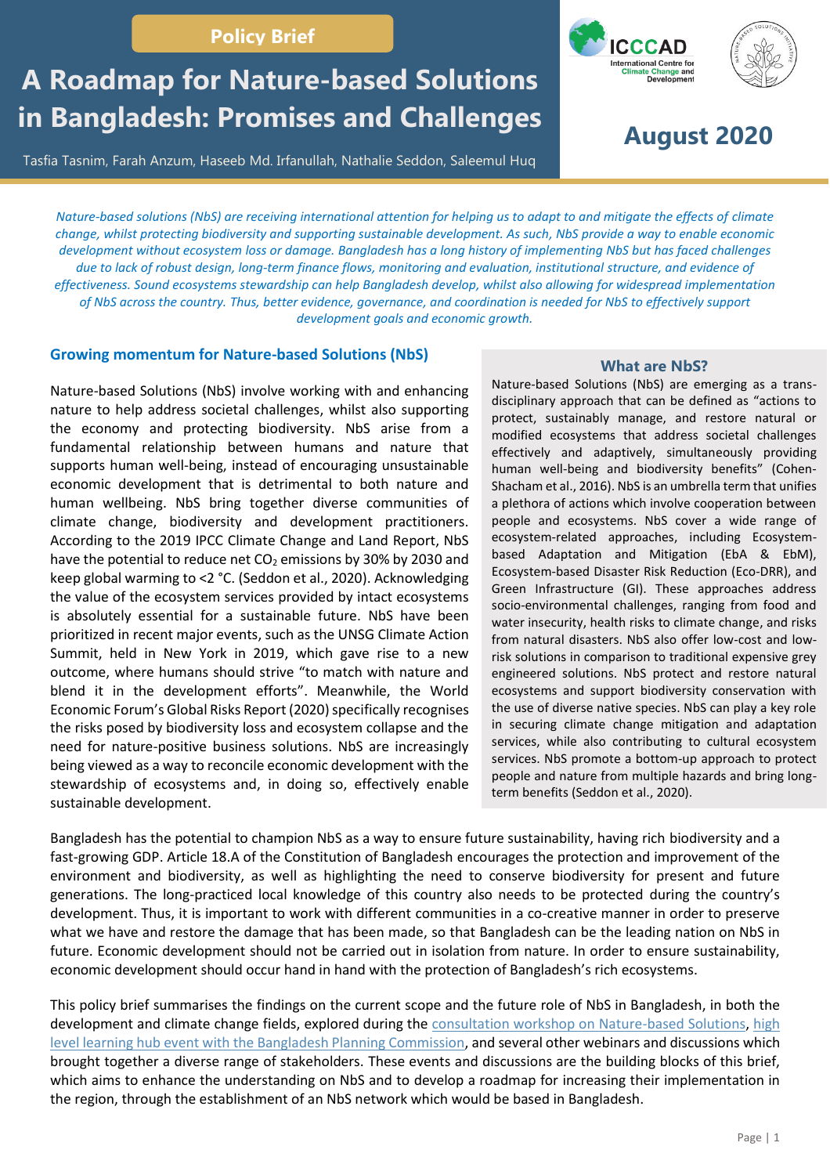# **Policy Brief**

# **A Roadmap for Nature-based Solutions in Bangladesh: Promises and Challenges**

Tasfia Tasnim, Farah Anzum, Haseeb Md. Irfanullah, Nathalie Seddon, Saleemul Huq





**August 2020**

*Nature-based solutions (NbS) are receiving international attention for helping us to adapt to and mitigate the effects of climate change, whilst protecting biodiversity and supporting sustainable development. As such, NbS provide a way to enable economic development without ecosystem loss or damage. Bangladesh has a long history of implementing NbS but has faced challenges due to lack of robust design, long-term finance flows, monitoring and evaluation, institutional structure, and evidence of effectiveness. Sound ecosystems stewardship can help Bangladesh develop, whilst also allowing for widespread implementation of NbS across the country. Thus, better evidence, governance, and coordination is needed for NbS to effectively support development goals and economic growth.*

## **Growing momentum for Nature-based Solutions (NbS)**

Nature-based Solutions (NbS) involve working with and enhancing nature to help address societal challenges, whilst also supporting the economy and protecting biodiversity. NbS arise from a fundamental relationship between humans and nature that supports human well-being, instead of encouraging unsustainable economic development that is detrimental to both nature and human wellbeing. NbS bring together diverse communities of climate change, biodiversity and development practitioners. According to the 2019 IPCC Climate Change and Land Report, NbS have the potential to reduce net  $CO<sub>2</sub>$  emissions by 30% by 2030 and keep global warming to <2 °C. (Seddon et al., 2020). Acknowledging the value of the ecosystem services provided by intact ecosystems is absolutely essential for a sustainable future. NbS have been prioritized in recent major events, such as the UNSG Climate Action Summit, held in New York in 2019, which gave rise to a new outcome, where humans should strive "to match with nature and blend it in the development efforts". Meanwhile, the World Economic Forum's Global Risks Report (2020) specifically recognises the risks posed by biodiversity loss and ecosystem collapse and the need for nature-positive business solutions. NbS are increasingly being viewed as a way to reconcile economic development with the stewardship of ecosystems and, in doing so, effectively enable sustainable development.

#### **What are NbS?**

Nature-based Solutions (NbS) are emerging as a transdisciplinary approach that can be defined as "actions to protect, sustainably manage, and restore natural or modified ecosystems that address societal challenges effectively and adaptively, simultaneously providing human well-being and biodiversity benefits" (Cohen-Shacham et al., 2016). NbS is an umbrella term that unifies a plethora of actions which involve cooperation between people and ecosystems. NbS cover a wide range of ecosystem-related approaches, including Ecosystembased Adaptation and Mitigation (EbA & EbM), Ecosystem-based Disaster Risk Reduction (Eco-DRR), and Green Infrastructure (GI). These approaches address socio-environmental challenges, ranging from food and water insecurity, health risks to climate change, and risks from natural disasters. NbS also offer low-cost and lowrisk solutions in comparison to traditional expensive grey engineered solutions. NbS protect and restore natural ecosystems and support biodiversity conservation with the use of diverse native species. NbS can play a key role in securing climate change mitigation and adaptation services, while also contributing to cultural ecosystem services. NbS promote a bottom-up approach to protect people and nature from multiple hazards and bring longterm benefits (Seddon et al., 2020).

Bangladesh has the potential to champion NbS as a way to ensure future sustainability, having rich biodiversity and a fast-growing GDP. Article 18.A of the Constitution of Bangladesh encourages the protection and improvement of the environment and biodiversity, as well as highlighting the need to conserve biodiversity for present and future generations. The long-practiced local knowledge of this country also needs to be protected during the country's development. Thus, it is important to work with different communities in a co-creative manner in order to preserve what we have and restore the damage that has been made, so that Bangladesh can be the leading nation on NbS in future. Economic development should not be carried out in isolation from nature. In order to ensure sustainability, economic development should occur hand in hand with the protection of Bangladesh's rich ecosystems.

This policy brief summarises the findings on the current scope and the future role of NbS in Bangladesh, in both the development and climate change fields, explored during the [consultation workshop on Nature-based Solutions,](http://www.nbsbangladesh.info/wp-content/uploads/2019/10/20200211_NBSWorkshopReport_October2019_ICCCAD_NBSI_Oxford-1.pdf) high [level learning hub event with the Bangladesh Planning Commission,](http://www.nbsbangladesh.info/wp-content/uploads/2020/05/20200404_LHEReport_NBS.pdf) and several other webinars and discussions which brought together a diverse range of stakeholders. These events and discussions are the building blocks of this brief, which aims to enhance the understanding on NbS and to develop a roadmap for increasing their implementation in the region, through the establishment of an NbS network which would be based in Bangladesh.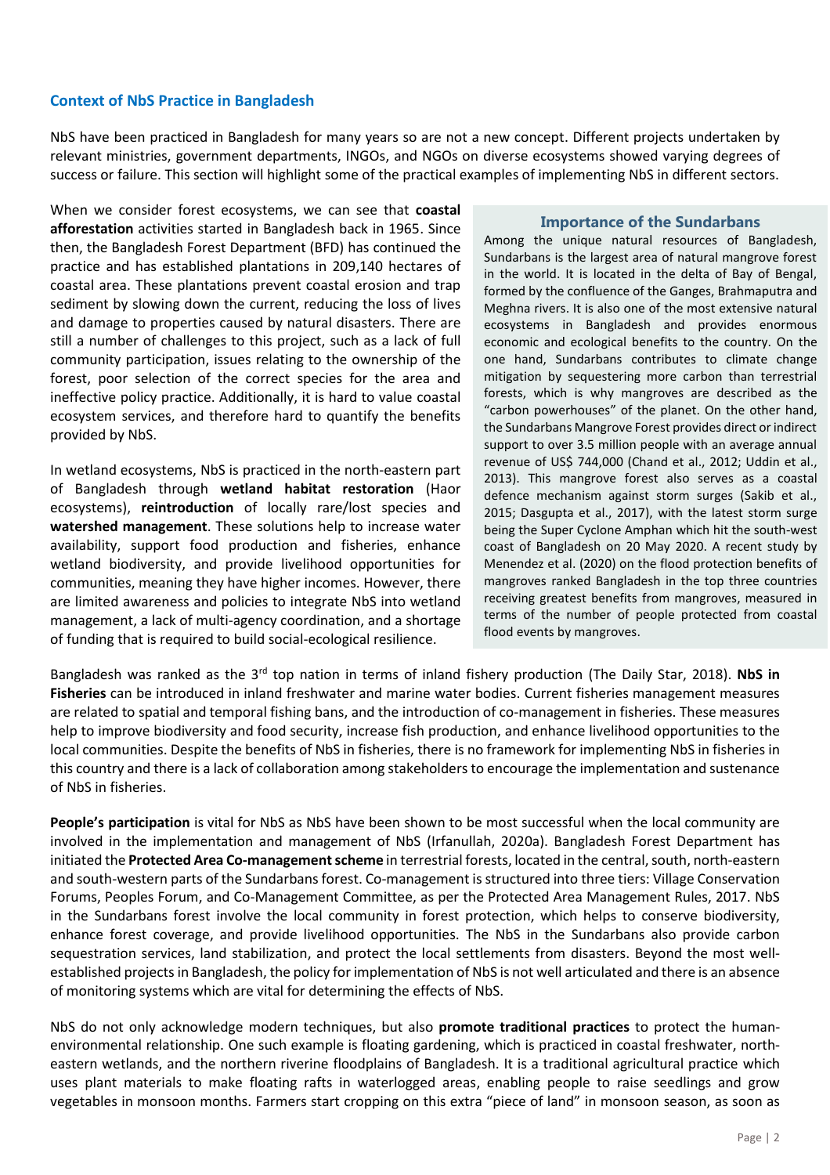## **Context of NbS Practice in Bangladesh**

NbS have been practiced in Bangladesh for many years so are not a new concept. Different projects undertaken by relevant ministries, government departments, INGOs, and NGOs on diverse ecosystems showed varying degrees of success or failure. This section will highlight some of the practical examples of implementing NbS in different sectors.

When we consider forest ecosystems, we can see that **coastal afforestation** activities started in Bangladesh back in 1965. Since then, the Bangladesh Forest Department (BFD) has continued the practice and has established plantations in 209,140 hectares of coastal area. These plantations prevent coastal erosion and trap sediment by slowing down the current, reducing the loss of lives and damage to properties caused by natural disasters. There are still a number of challenges to this project, such as a lack of full community participation, issues relating to the ownership of the forest, poor selection of the correct species for the area and ineffective policy practice. Additionally, it is hard to value coastal ecosystem services, and therefore hard to quantify the benefits provided by NbS.

In wetland ecosystems, NbS is practiced in the north-eastern part of Bangladesh through **wetland habitat restoration** (Haor ecosystems), **reintroduction** of locally rare/lost species and **watershed management**. These solutions help to increase water availability, support food production and fisheries, enhance wetland biodiversity, and provide livelihood opportunities for communities, meaning they have higher incomes. However, there are limited awareness and policies to integrate NbS into wetland management, a lack of multi-agency coordination, and a shortage of funding that is required to build social-ecological resilience.

#### **Importance of the Sundarbans**

Among the unique natural resources of Bangladesh, Sundarbans is the largest area of natural mangrove forest in the world. It is located in the delta of Bay of Bengal, formed by the confluence of the Ganges, Brahmaputra and Meghna rivers. It is also one of the most extensive natural ecosystems in Bangladesh and provides enormous economic and ecological benefits to the country. On the one hand, Sundarbans contributes to climate change mitigation by sequestering more carbon than terrestrial forests, which is why mangroves are described as the "carbon powerhouses" of the planet. On the other hand, the Sundarbans Mangrove Forest provides direct or indirect support to over 3.5 million people with an average annual revenue of US\$ 744,000 (Chand et al., 2012; Uddin et al., 2013). This mangrove forest also serves as a coastal defence mechanism against storm surges (Sakib et al., 2015; Dasgupta et al., 2017), with the latest storm surge being the Super Cyclone Amphan which hit the south-west coast of Bangladesh on 20 May 2020. A recent study by Menendez et al. (2020) on the flood protection benefits of mangroves ranked Bangladesh in the top three countries receiving greatest benefits from mangroves, measured in terms of the number of people protected from coastal flood events by mangroves.

Bangladesh was ranked as the 3<sup>rd</sup> top nation in terms of inland fishery production (The Daily Star, 2018). **NbS in Fisheries** can be introduced in inland freshwater and marine water bodies. Current fisheries management measures are related to spatial and temporal fishing bans, and the introduction of co-management in fisheries. These measures help to improve biodiversity and food security, increase fish production, and enhance livelihood opportunities to the local communities. Despite the benefits of NbS in fisheries, there is no framework for implementing NbS in fisheries in this country and there is a lack of collaboration among stakeholders to encourage the implementation and sustenance of NbS in fisheries.

**People's participation** is vital for NbS as NbS have been shown to be most successful when the local community are involved in the implementation and management of NbS (Irfanullah, 2020a). Bangladesh Forest Department has initiated the **Protected Area Co-management scheme** in terrestrial forests, located in the central, south, north-eastern and south-western parts of the Sundarbans forest. Co-management is structured into three tiers: Village Conservation Forums, Peoples Forum, and Co-Management Committee, as per the Protected Area Management Rules, 2017. NbS in the Sundarbans forest involve the local community in forest protection, which helps to conserve biodiversity, enhance forest coverage, and provide livelihood opportunities. The NbS in the Sundarbans also provide carbon sequestration services, land stabilization, and protect the local settlements from disasters. Beyond the most wellestablished projects in Bangladesh, the policy for implementation of NbS is not well articulated and there is an absence of monitoring systems which are vital for determining the effects of NbS.

NbS do not only acknowledge modern techniques, but also **promote traditional practices** to protect the humanenvironmental relationship. One such example is floating gardening, which is practiced in coastal freshwater, northeastern wetlands, and the northern riverine floodplains of Bangladesh. It is a traditional agricultural practice which uses plant materials to make floating rafts in waterlogged areas, enabling people to raise seedlings and grow vegetables in monsoon months. Farmers start cropping on this extra "piece of land" in monsoon season, as soon as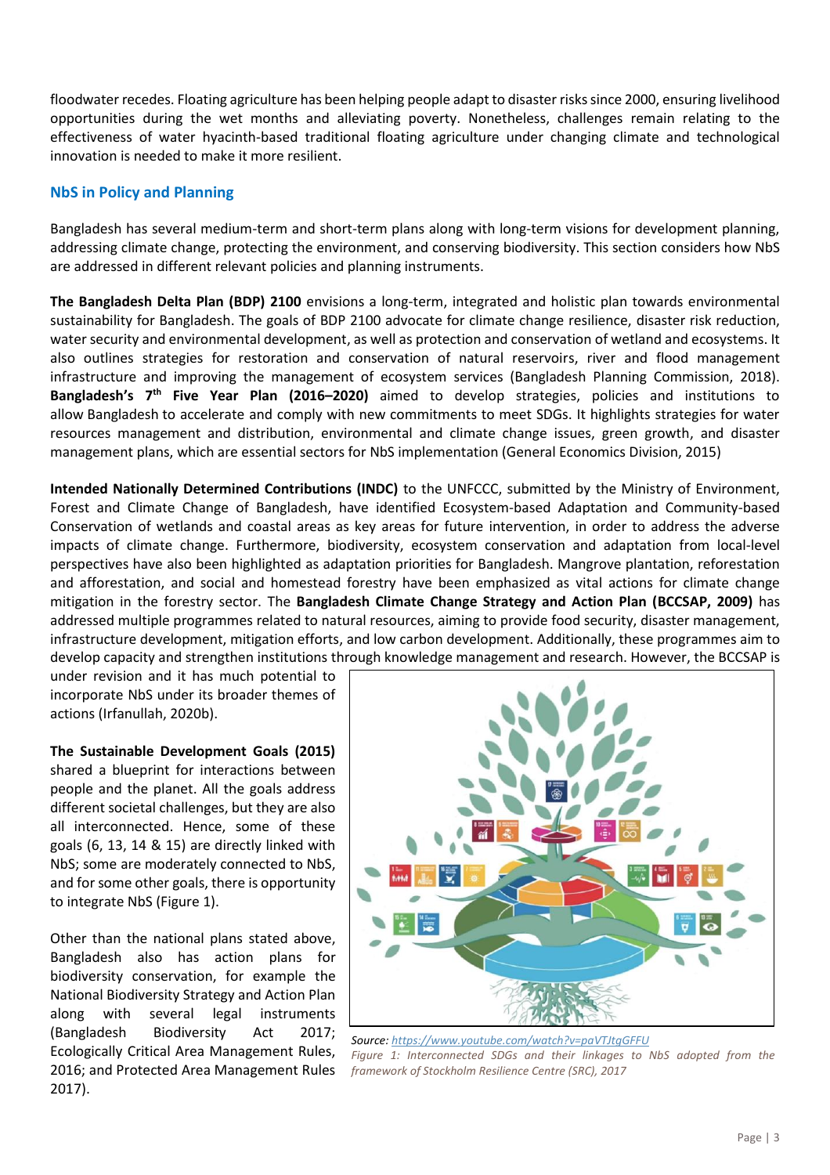floodwater recedes. Floating agriculture has been helping people adapt to disaster riskssince 2000, ensuring livelihood opportunities during the wet months and alleviating poverty. Nonetheless, challenges remain relating to the effectiveness of water hyacinth-based traditional floating agriculture under changing climate and technological innovation is needed to make it more resilient.

# **NbS in Policy and Planning**

Bangladesh has several medium-term and short-term plans along with long-term visions for development planning, addressing climate change, protecting the environment, and conserving biodiversity. This section considers how NbS are addressed in different relevant policies and planning instruments.

**The Bangladesh Delta Plan (BDP) 2100** envisions a long-term, integrated and holistic plan towards environmental sustainability for Bangladesh. The goals of BDP 2100 advocate for climate change resilience, disaster risk reduction, water security and environmental development, as well as protection and conservation of wetland and ecosystems. It also outlines strategies for restoration and conservation of natural reservoirs, river and flood management infrastructure and improving the management of ecosystem services (Bangladesh Planning Commission, 2018). **Bangladesh's 7 th Five Year Plan (2016–2020)** aimed to develop strategies, policies and institutions to allow Bangladesh to accelerate and comply with new commitments to meet SDGs. It highlights strategies for water resources management and distribution, environmental and climate change issues, green growth, and disaster management plans, which are essential sectors for NbS implementation (General Economics Division, 2015)

**Intended Nationally Determined Contributions (INDC)** to the UNFCCC, submitted by the Ministry of Environment, Forest and Climate Change of Bangladesh, have identified Ecosystem-based Adaptation and Community-based Conservation of wetlands and coastal areas as key areas for future intervention, in order to address the adverse impacts of climate change. Furthermore, biodiversity, ecosystem conservation and adaptation from local-level perspectives have also been highlighted as adaptation priorities for Bangladesh. Mangrove plantation, reforestation and afforestation, and social and homestead forestry have been emphasized as vital actions for climate change mitigation in the forestry sector. The **Bangladesh Climate Change Strategy and Action Plan (BCCSAP, 2009)** has addressed multiple programmes related to natural resources, aiming to provide food security, disaster management, infrastructure development, mitigation efforts, and low carbon development. Additionally, these programmes aim to develop capacity and strengthen institutions through knowledge management and research. However, the BCCSAP is

under revision and it has much potential to incorporate NbS under its broader themes of actions (Irfanullah, 2020b).

**The Sustainable Development Goals (2015)**  shared a blueprint for interactions between people and the planet. All the goals address different societal challenges, but they are also all interconnected. Hence, some of these goals (6, 13, 14 & 15) are directly linked with NbS; some are moderately connected to NbS, and for some other goals, there is opportunity to integrate NbS (Figure 1).

Other than the national plans stated above, Bangladesh also has action plans for biodiversity conservation, for example the National Biodiversity Strategy and Action Plan along with several legal instruments (Bangladesh Biodiversity Act 2017; Ecologically Critical Area Management Rules, 2016; and Protected Area Management Rules 2017).



*Source[: https://www.youtube.com/watch?v=paVTJtgGFFU](https://www.youtube.com/watch?v=paVTJtgGFFU) Figure 1: Interconnected SDGs and their linkages to NbS adopted from the framework of Stockholm Resilience Centre (SRC), 2017*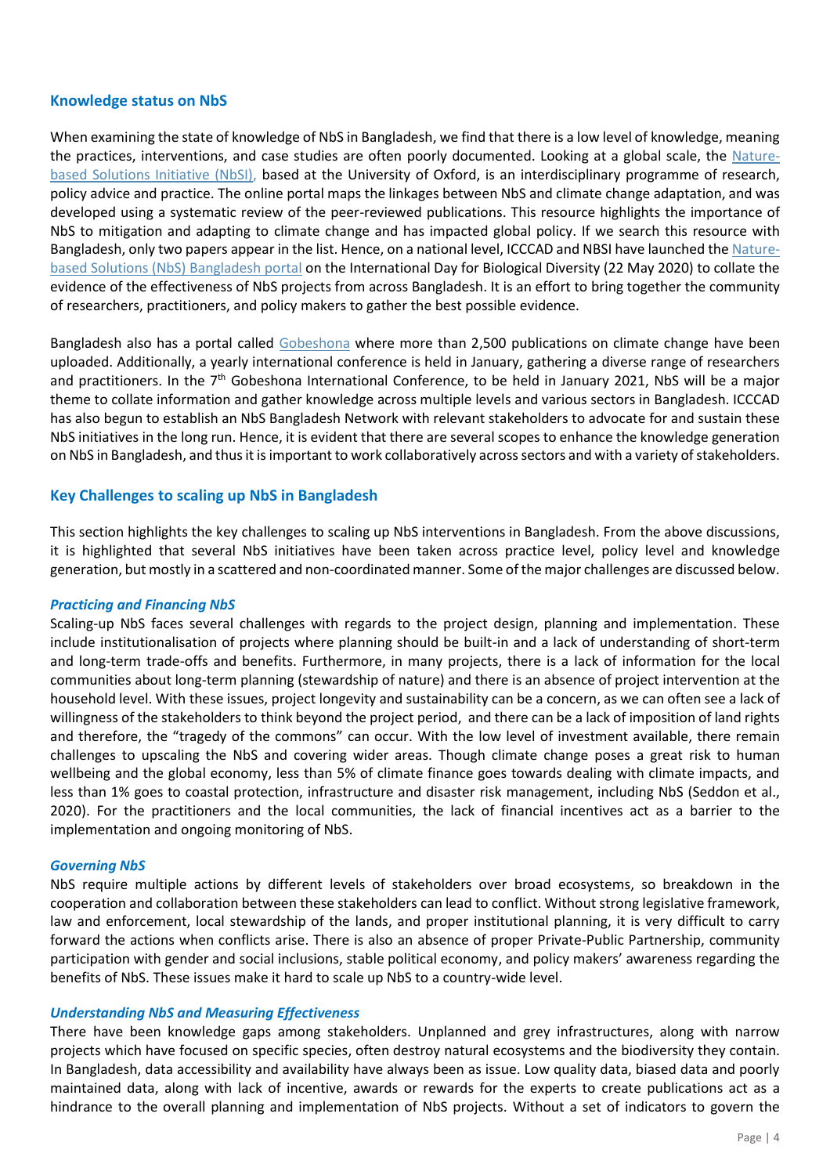# **Knowledge status on NbS**

When examining the state of knowledge of NbS in Bangladesh, we find that there is a low level of knowledge, meaning the practices, interventions, and case studies are often poorly documented. Looking at a global scale, the [Nature](https://www.naturebasedsolutionsinitiative.org/)[based Solutions Initiative \(NbSI\),](https://www.naturebasedsolutionsinitiative.org/) based at the University of Oxford, is an interdisciplinary programme of research, policy advice and practice. The online portal maps the linkages between NbS and climate change adaptation, and was developed using a systematic review of the peer-reviewed publications. This resource highlights the importance of NbS to mitigation and adapting to climate change and has impacted global policy. If we search this resource with Bangladesh, only two papers appear in the list. Hence, on a national level, ICCCAD and NBSI have launched th[e Nature](http://www.nbsbangladesh.info/)[based Solutions \(NbS\) Bangladesh portal](http://www.nbsbangladesh.info/) on the International Day for Biological Diversity (22 May 2020) to collate the evidence of the effectiveness of NbS projects from across Bangladesh. It is an effort to bring together the community of researchers, practitioners, and policy makers to gather the best possible evidence.

Bangladesh also has a portal called [Gobeshona](http://gobeshona.net/#sthash.FpKqLols.dpbs) where more than 2,500 publications on climate change have been uploaded. Additionally, a yearly international conference is held in January, gathering a diverse range of researchers and practitioners. In the 7<sup>th</sup> Gobeshona International Conference, to be held in January 2021, NbS will be a major theme to collate information and gather knowledge across multiple levels and various sectors in Bangladesh. ICCCAD has also begun to establish an NbS Bangladesh Network with relevant stakeholders to advocate for and sustain these NbS initiatives in the long run. Hence, it is evident that there are several scopes to enhance the knowledge generation on NbS in Bangladesh, and thus it is important to work collaboratively across sectors and with a variety of stakeholders.

# **Key Challenges to scaling up NbS in Bangladesh**

This section highlights the key challenges to scaling up NbS interventions in Bangladesh. From the above discussions, it is highlighted that several NbS initiatives have been taken across practice level, policy level and knowledge generation, but mostly in a scattered and non-coordinated manner. Some of the major challenges are discussed below.

## *Practicing and Financing NbS*

Scaling-up NbS faces several challenges with regards to the project design, planning and implementation. These include institutionalisation of projects where planning should be built-in and a lack of understanding of short-term and long-term trade-offs and benefits. Furthermore, in many projects, there is a lack of information for the local communities about long-term planning (stewardship of nature) and there is an absence of project intervention at the household level. With these issues, project longevity and sustainability can be a concern, as we can often see a lack of willingness of the stakeholders to think beyond the project period, and there can be a lack of imposition of land rights and therefore, the "tragedy of the commons" can occur. With the low level of investment available, there remain challenges to upscaling the NbS and covering wider areas. Though climate change poses a great risk to human wellbeing and the global economy, less than 5% of climate finance goes towards dealing with climate impacts, and less than 1% goes to coastal protection, infrastructure and disaster risk management, including NbS (Seddon et al., 2020). For the practitioners and the local communities, the lack of financial incentives act as a barrier to the implementation and ongoing monitoring of NbS.

#### *Governing NbS*

NbS require multiple actions by different levels of stakeholders over broad ecosystems, so breakdown in the cooperation and collaboration between these stakeholders can lead to conflict. Without strong legislative framework, law and enforcement, local stewardship of the lands, and proper institutional planning, it is very difficult to carry forward the actions when conflicts arise. There is also an absence of proper Private-Public Partnership, community participation with gender and social inclusions, stable political economy, and policy makers' awareness regarding the benefits of NbS. These issues make it hard to scale up NbS to a country-wide level.

#### *Understanding NbS and Measuring Effectiveness*

There have been knowledge gaps among stakeholders. Unplanned and grey infrastructures, along with narrow projects which have focused on specific species, often destroy natural ecosystems and the biodiversity they contain. In Bangladesh, data accessibility and availability have always been as issue. Low quality data, biased data and poorly maintained data, along with lack of incentive, awards or rewards for the experts to create publications act as a hindrance to the overall planning and implementation of NbS projects. Without a set of indicators to govern the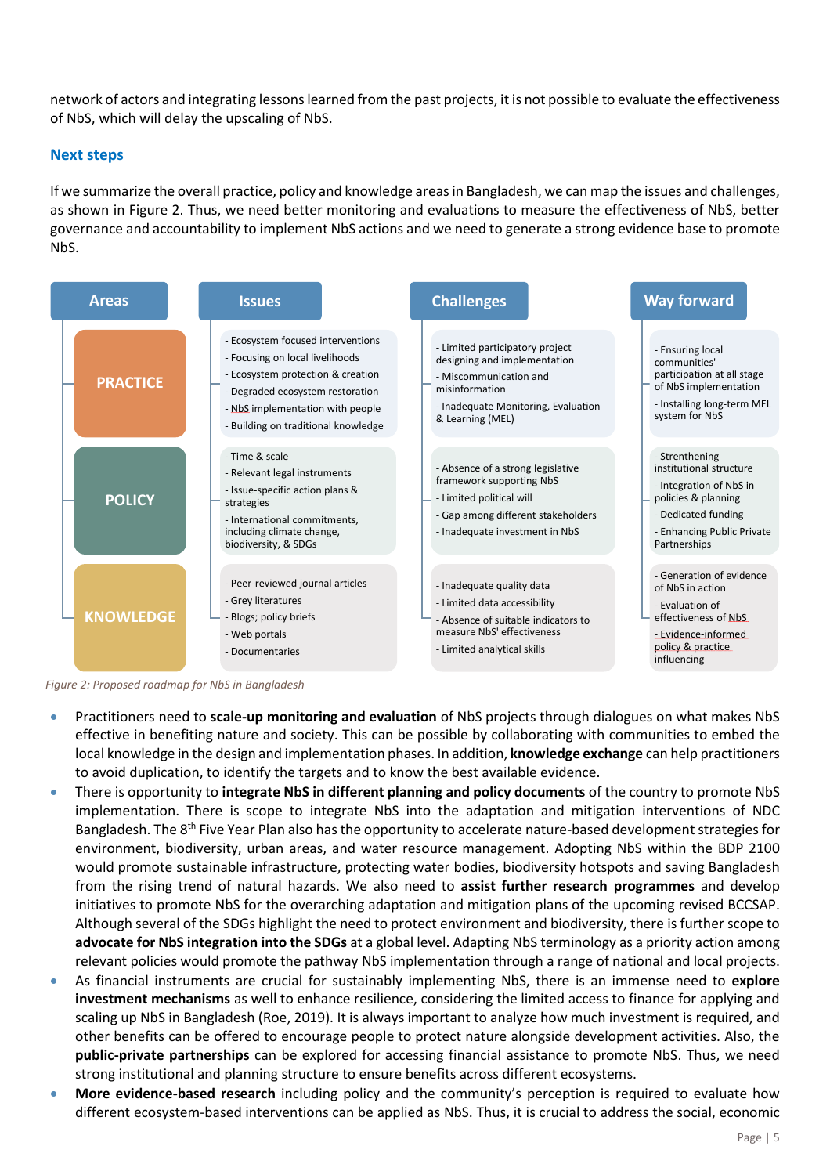network of actors and integrating lessons learned from the past projects, it is not possible to evaluate the effectiveness of NbS, which will delay the upscaling of NbS.

#### **Next steps**

If we summarize the overall practice, policy and knowledge areas in Bangladesh, we can map the issues and challenges, as shown in Figure 2. Thus, we need better monitoring and evaluations to measure the effectiveness of NbS, better governance and accountability to implement NbS actions and we need to generate a strong evidence base to promote NbS.



*Figure 2: Proposed roadmap for NbS in Bangladesh*

- Practitioners need to **scale-up monitoring and evaluation** of NbS projects through dialogues on what makes NbS effective in benefiting nature and society. This can be possible by collaborating with communities to embed the local knowledge in the design and implementation phases. In addition, **knowledge exchange** can help practitioners to avoid duplication, to identify the targets and to know the best available evidence.
- There is opportunity to **integrate NbS in different planning and policy documents** of the country to promote NbS implementation. There is scope to integrate NbS into the adaptation and mitigation interventions of NDC Bangladesh. The 8<sup>th</sup> Five Year Plan also has the opportunity to accelerate nature-based development strategies for environment, biodiversity, urban areas, and water resource management. Adopting NbS within the BDP 2100 would promote sustainable infrastructure, protecting water bodies, biodiversity hotspots and saving Bangladesh from the rising trend of natural hazards. We also need to **assist further research programmes** and develop initiatives to promote NbS for the overarching adaptation and mitigation plans of the upcoming revised BCCSAP. Although several of the SDGs highlight the need to protect environment and biodiversity, there is further scope to **advocate for NbS integration into the SDGs** at a global level. Adapting NbS terminology as a priority action among relevant policies would promote the pathway NbS implementation through a range of national and local projects.
- As financial instruments are crucial for sustainably implementing NbS, there is an immense need to **explore investment mechanisms** as well to enhance resilience, considering the limited access to finance for applying and scaling up NbS in Bangladesh (Roe, 2019). It is always important to analyze how much investment is required, and other benefits can be offered to encourage people to protect nature alongside development activities. Also, the **public-private partnerships** can be explored for accessing financial assistance to promote NbS. Thus, we need strong institutional and planning structure to ensure benefits across different ecosystems.
- **More evidence-based research** including policy and the community's perception is required to evaluate how different ecosystem-based interventions can be applied as NbS. Thus, it is crucial to address the social, economic